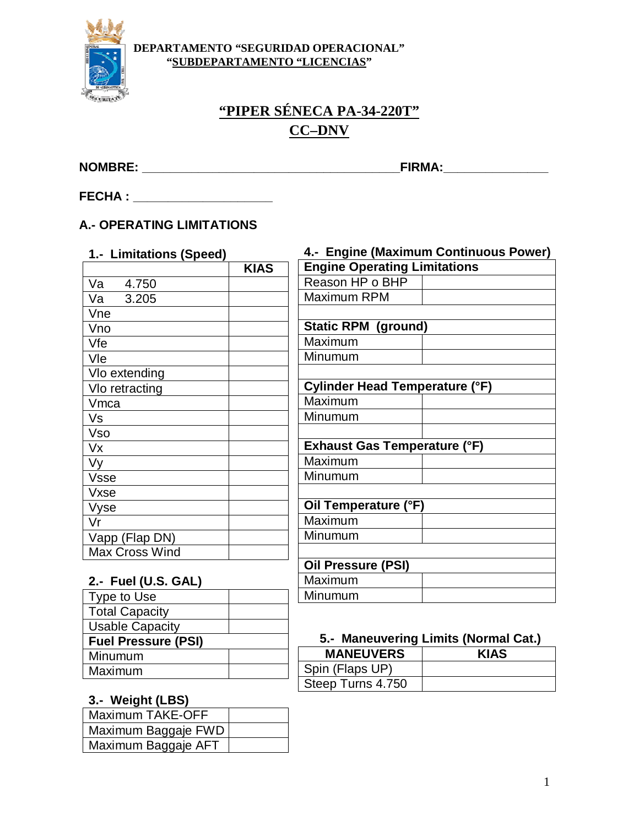

#### DEPARTAMENTO "SEGURIDAD OPERACIONAL" "SUBDEPARTAMENTO "LICENCIAS"

# "PIPER SÉNECA PA-34-220T"  $CC-DNV$

FECHA: The contract of the contract of the contract of the contract of the contract of the contract of the contract of the contract of the contract of the contract of the contract of the contract of the contract of the con

# **A.- OPERATING LIMITATIONS**

| 1.- Limitations (Speed) |             | 4.- Engine (Maximum Continuous Power) |
|-------------------------|-------------|---------------------------------------|
|                         | <b>KIAS</b> | <b>Engine Operating Limitations</b>   |
| Va<br>4.750             |             | Reason HP o BHP                       |
| Va<br>3.205             |             | Maximum RPM                           |
| Vne                     |             |                                       |
| Vno                     |             | <b>Static RPM (ground)</b>            |
| Vfe                     |             | Maximum                               |
| Vle                     |             | Minumum                               |
| Vlo extending           |             |                                       |
| Vlo retracting          |             | <b>Cylinder Head Temperature (°F)</b> |
| Vmca                    |             | Maximum                               |
| Vs                      |             | Minumum                               |
| <b>Vso</b>              |             |                                       |
| Vx                      |             | <b>Exhaust Gas Temperature (°F)</b>   |
| Vy                      |             | Maximum                               |
| <b>Vsse</b>             |             | Minumum                               |
| <b>Vxse</b>             |             |                                       |
| Vyse                    |             | Oil Temperature (°F)                  |
| Vr                      |             | Maximum                               |
| Vapp (Flap DN)          |             | Minumum                               |
| Max Cross Wind          |             |                                       |
|                         |             | <b>Oil Pressure (PSI)</b>             |
| 2.- Fuel (U.S. GAL)     |             | Maximum                               |

Minumum

| <u>Z.- FUBI (U.S. GAL)</u> |  |
|----------------------------|--|
| Type to Use                |  |
| <b>Total Capacity</b>      |  |
| <b>Usable Capacity</b>     |  |
|                            |  |
| <b>Fuel Pressure (PSI)</b> |  |
| Minumum                    |  |
| Maximum                    |  |

# 5.- Maneuvering Limits (Normal Cat.)

| <b>MANEUVERS</b>  | <b>KIAS</b> |
|-------------------|-------------|
| Spin (Flaps UP)   |             |
| Steep Turns 4.750 |             |

## 3.- Weight (LBS)

| <b>Maximum TAKE-OFF</b> |  |
|-------------------------|--|
| Maximum Baggaje FWD     |  |
| Maximum Baggaje AFT     |  |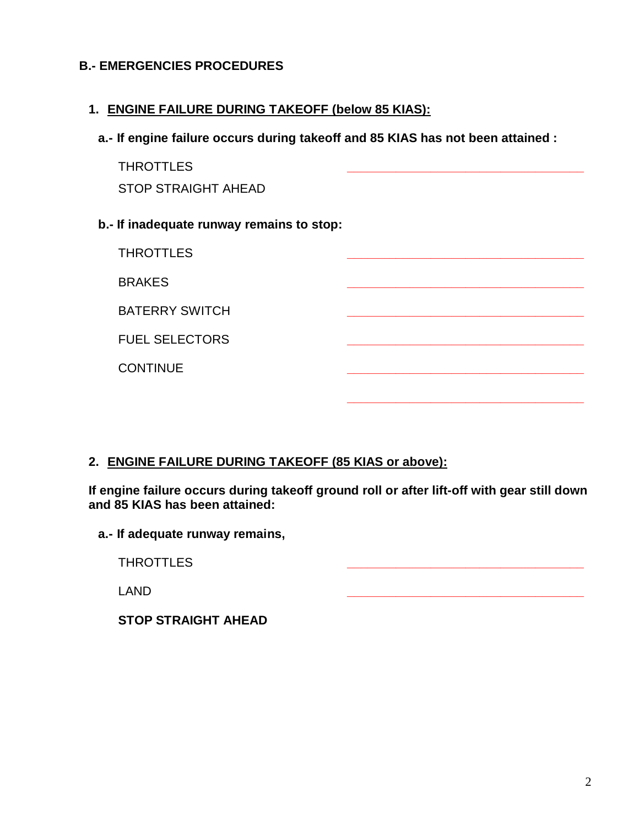#### **B.- EMERGENCIES PROCEDURES**

#### **1. ENGINE FAILURE DURING TAKEOFF (below 85 KIAS):**

**a.- If engine failure occurs during takeoff and 85 KIAS has not been attained :**

THROTTLES **\_\_\_\_\_\_\_\_\_\_\_\_\_\_\_\_\_\_\_\_\_\_\_\_\_\_\_\_\_\_\_\_\_\_** STOP STRAIGHT AHEAD

#### **b.- If inadequate runway remains to stop:**

| <b>THROTTLES</b>      |  |  |  |  |
|-----------------------|--|--|--|--|
| <b>BRAKES</b>         |  |  |  |  |
| <b>BATERRY SWITCH</b> |  |  |  |  |
| <b>FUEL SELECTORS</b> |  |  |  |  |
| <b>CONTINUE</b>       |  |  |  |  |
|                       |  |  |  |  |

#### **2. ENGINE FAILURE DURING TAKEOFF (85 KIAS or above):**

**If engine failure occurs during takeoff ground roll or after lift-off with gear still down and 85 KIAS has been attained:**

**a.- If adequate runway remains,** 

THROTTLES **\_\_\_\_\_\_\_\_\_\_\_\_\_\_\_\_\_\_\_\_\_\_\_\_\_\_\_\_\_\_\_\_\_\_**

LAND **\_\_\_\_\_\_\_\_\_\_\_\_\_\_\_\_\_\_\_\_\_\_\_\_\_\_\_\_\_\_\_\_\_\_**

**STOP STRAIGHT AHEAD**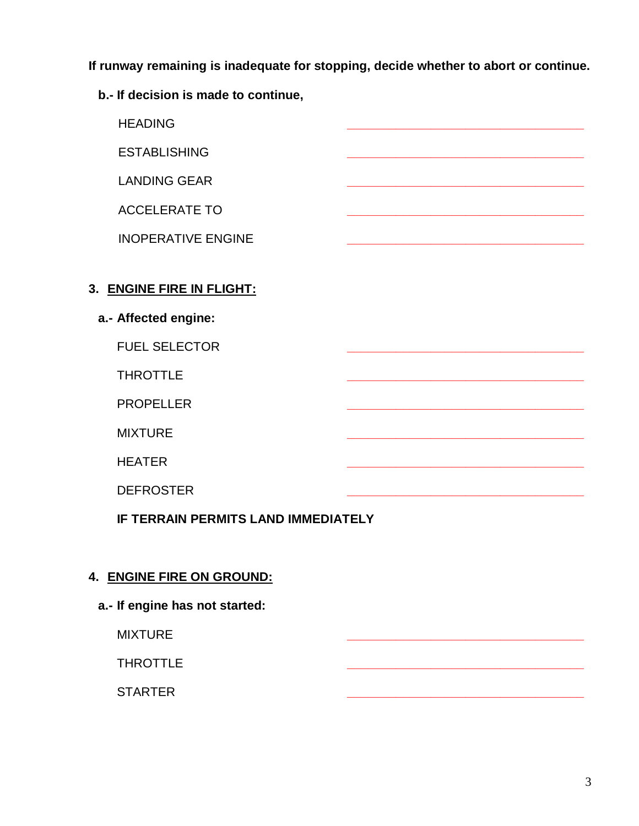**If runway remaining is inadequate for stopping, decide whether to abort or continue.**

**b.- If decision is made to continue,**

| <b>HEADING</b>                      |  |
|-------------------------------------|--|
| <b>ESTABLISHING</b>                 |  |
| <b>LANDING GEAR</b>                 |  |
| <b>ACCELERATE TO</b>                |  |
| <b>INOPERATIVE ENGINE</b>           |  |
|                                     |  |
| 3. ENGINE FIRE IN FLIGHT <u>:</u>   |  |
| a.- Affected engine:                |  |
| <b>FUEL SELECTOR</b>                |  |
| <b>THROTTLE</b>                     |  |
| <b>PROPELLER</b>                    |  |
| <b>MIXTURE</b>                      |  |
| <b>HEATER</b>                       |  |
| <b>DEFROSTER</b>                    |  |
| IF TERRAIN PERMITS LAND IMMEDIATELY |  |

## **4. ENGINE FIRE ON GROUND:**

- **a.- If engine has not started:**
	- MIXTURE **\_\_\_\_\_\_\_\_\_\_\_\_\_\_\_\_\_\_\_\_\_\_\_\_\_\_\_\_\_\_\_\_\_\_** THROTTLE **\_\_\_\_\_\_\_\_\_\_\_\_\_\_\_\_\_\_\_\_\_\_\_\_\_\_\_\_\_\_\_\_\_\_** STARTER **\_\_\_\_\_\_\_\_\_\_\_\_\_\_\_\_\_\_\_\_\_\_\_\_\_\_\_\_\_\_\_\_\_\_**